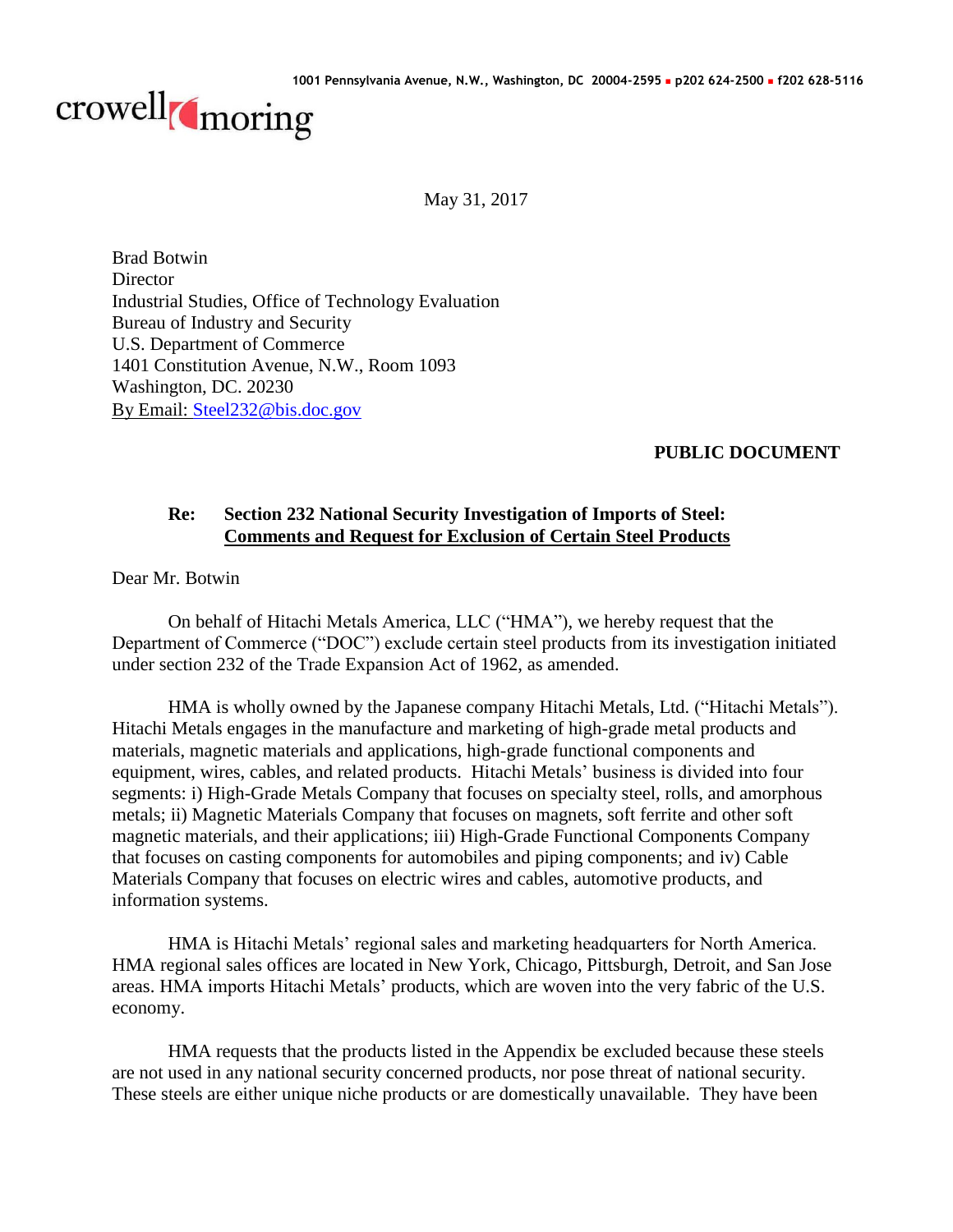

May 31, 2017

Brad Botwin **Director** Industrial Studies, Office of Technology Evaluation Bureau of Industry and Security U.S. Department of Commerce 1401 Constitution Avenue, N.W., Room 1093 Washington, DC. 20230 By Email: [Steel232@bis.doc.gov](mailto:Steel232@bis.doc.gov)

# **PUBLIC DOCUMENT**

## **Re: Section 232 National Security Investigation of Imports of Steel: Comments and Request for Exclusion of Certain Steel Products**

Dear Mr. Botwin

On behalf of Hitachi Metals America, LLC ("HMA"), we hereby request that the Department of Commerce ("DOC") exclude certain steel products from its investigation initiated under section 232 of the Trade Expansion Act of 1962, as amended.

HMA is wholly owned by the Japanese company Hitachi Metals, Ltd. ("Hitachi Metals"). Hitachi Metals engages in the manufacture and marketing of high-grade metal products and materials, magnetic materials and applications, high-grade functional components and equipment, wires, cables, and related products. Hitachi Metals' business is divided into four segments: i) High-Grade Metals Company that focuses on specialty steel, rolls, and amorphous metals; ii) Magnetic Materials Company that focuses on magnets, soft ferrite and other soft magnetic materials, and their applications; iii) High-Grade Functional Components Company that focuses on casting components for automobiles and piping components; and iv) Cable Materials Company that focuses on electric wires and cables, automotive products, and information systems.

HMA is Hitachi Metals' regional sales and marketing headquarters for North America. HMA regional sales offices are located in New York, Chicago, Pittsburgh, Detroit, and San Jose areas. HMA imports Hitachi Metals' products, which are woven into the very fabric of the U.S. economy.

HMA requests that the products listed in the Appendix be excluded because these steels are not used in any national security concerned products, nor pose threat of national security. These steels are either unique niche products or are domestically unavailable. They have been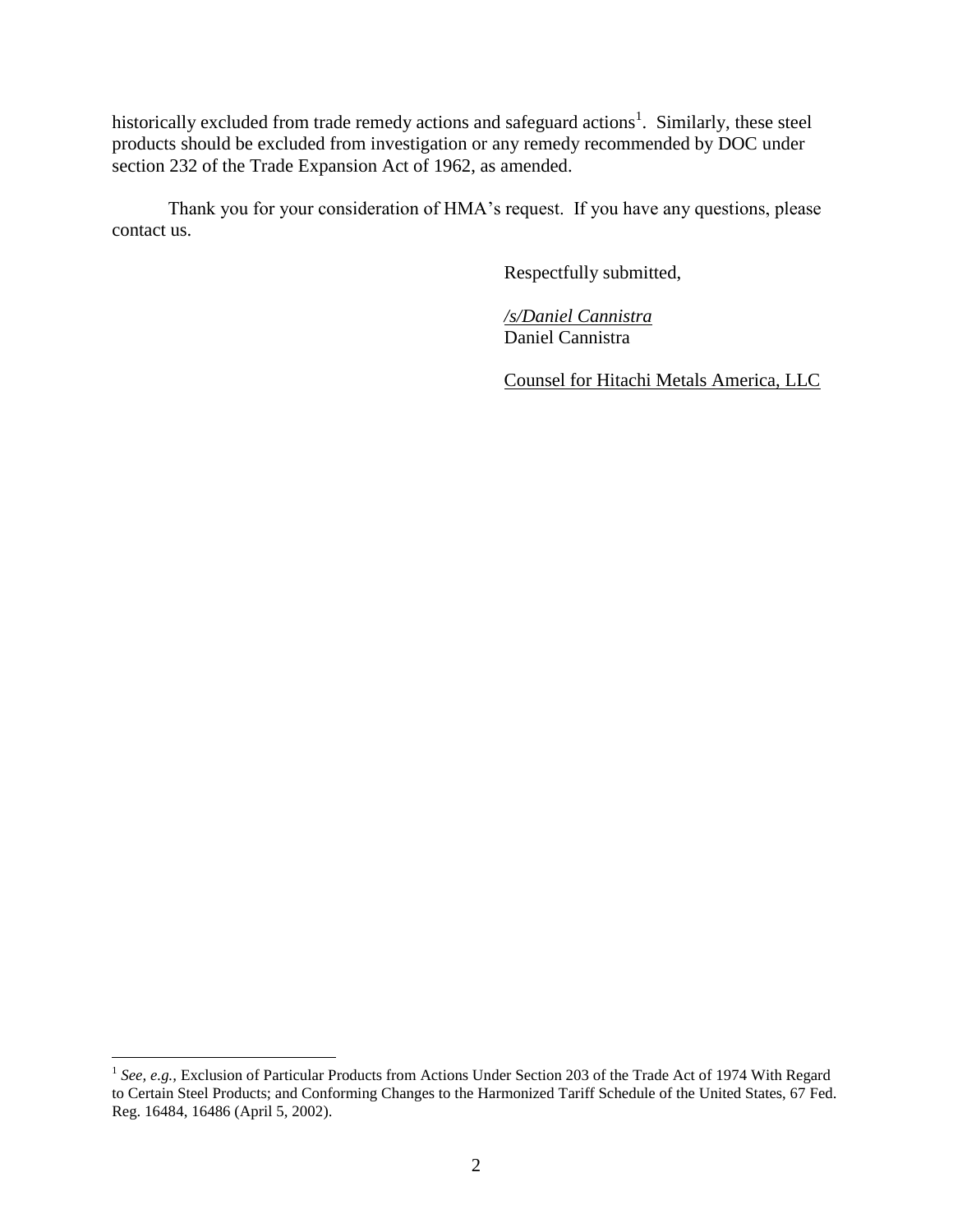historically excluded from trade remedy actions and safeguard actions<sup>1</sup>. Similarly, these steel products should be excluded from investigation or any remedy recommended by DOC under section 232 of the Trade Expansion Act of 1962, as amended.

Thank you for your consideration of HMA's request. If you have any questions, please contact us.

Respectfully submitted,

*/s/Daniel Cannistra* Daniel Cannistra

Counsel for Hitachi Metals America, LLC

<sup>&</sup>lt;sup>1</sup> See, e.g., Exclusion of Particular Products from Actions Under Section 203 of the Trade Act of 1974 With Regard to Certain Steel Products; and Conforming Changes to the Harmonized Tariff Schedule of the United States, 67 Fed. Reg. 16484, 16486 (April 5, 2002).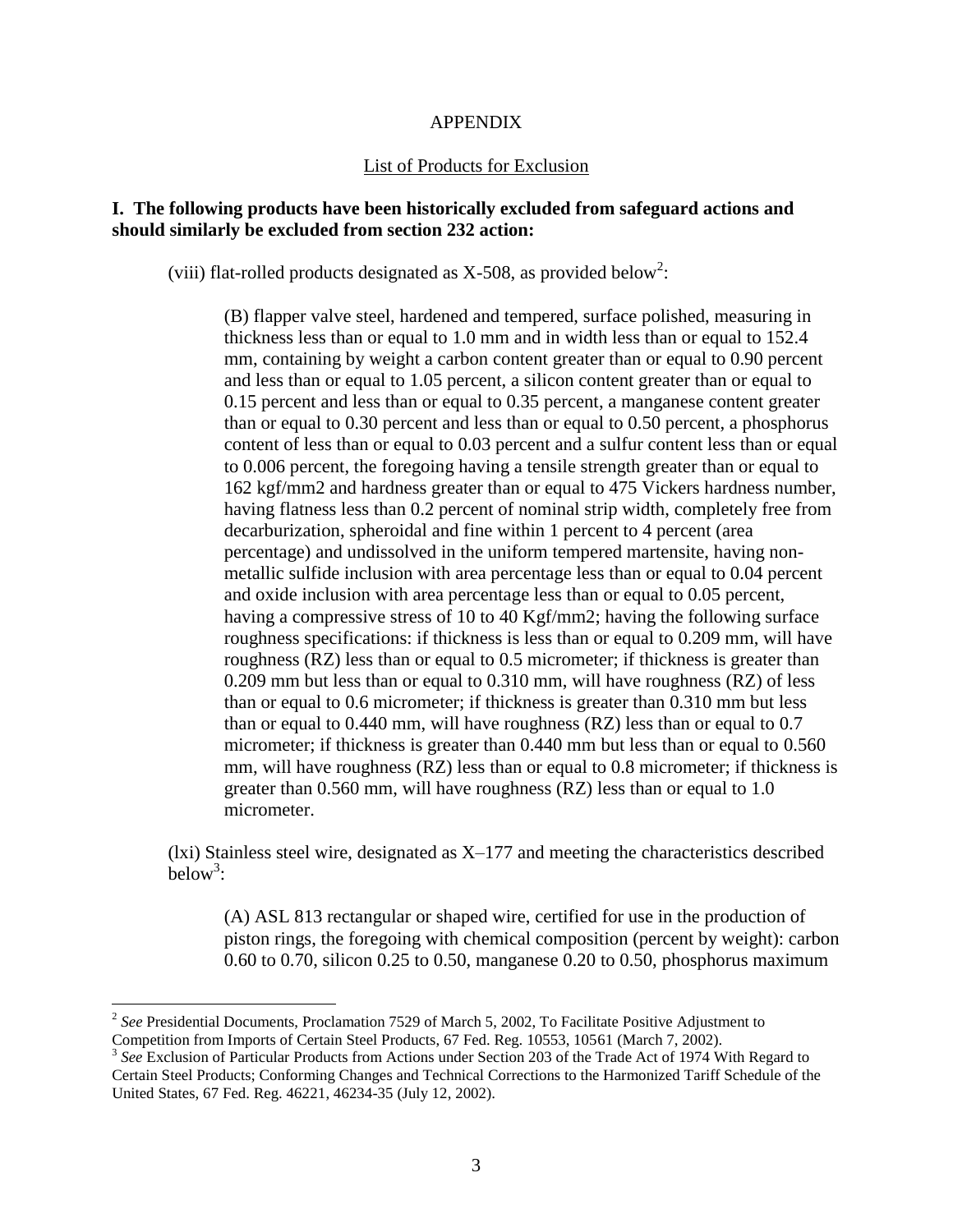### APPENDIX

#### List of Products for Exclusion

## **I. The following products have been historically excluded from safeguard actions and should similarly be excluded from section 232 action:**

(viii) flat-rolled products designated as X-508, as provided below<sup>2</sup>:

(B) flapper valve steel, hardened and tempered, surface polished, measuring in thickness less than or equal to 1.0 mm and in width less than or equal to 152.4 mm, containing by weight a carbon content greater than or equal to 0.90 percent and less than or equal to 1.05 percent, a silicon content greater than or equal to 0.15 percent and less than or equal to 0.35 percent, a manganese content greater than or equal to 0.30 percent and less than or equal to 0.50 percent, a phosphorus content of less than or equal to 0.03 percent and a sulfur content less than or equal to 0.006 percent, the foregoing having a tensile strength greater than or equal to 162 kgf/mm2 and hardness greater than or equal to 475 Vickers hardness number, having flatness less than 0.2 percent of nominal strip width, completely free from decarburization, spheroidal and fine within 1 percent to 4 percent (area percentage) and undissolved in the uniform tempered martensite, having nonmetallic sulfide inclusion with area percentage less than or equal to 0.04 percent and oxide inclusion with area percentage less than or equal to 0.05 percent, having a compressive stress of 10 to 40 Kgf/mm2; having the following surface roughness specifications: if thickness is less than or equal to 0.209 mm, will have roughness (RZ) less than or equal to 0.5 micrometer; if thickness is greater than 0.209 mm but less than or equal to 0.310 mm, will have roughness (RZ) of less than or equal to 0.6 micrometer; if thickness is greater than 0.310 mm but less than or equal to 0.440 mm, will have roughness (RZ) less than or equal to 0.7 micrometer; if thickness is greater than 0.440 mm but less than or equal to 0.560 mm, will have roughness (RZ) less than or equal to 0.8 micrometer; if thickness is greater than 0.560 mm, will have roughness (RZ) less than or equal to 1.0 micrometer.

(lxi) Stainless steel wire, designated as X–177 and meeting the characteristics described below<sup>3</sup>:

(A) ASL 813 rectangular or shaped wire, certified for use in the production of piston rings, the foregoing with chemical composition (percent by weight): carbon 0.60 to 0.70, silicon 0.25 to 0.50, manganese 0.20 to 0.50, phosphorus maximum

<sup>2</sup> *See* Presidential Documents, Proclamation 7529 of March 5, 2002, To Facilitate Positive Adjustment to Competition from Imports of Certain Steel Products, 67 Fed. Reg. 10553, 10561 (March 7, 2002).

<sup>&</sup>lt;sup>3</sup> See Exclusion of Particular Products from Actions under Section 203 of the Trade Act of 1974 With Regard to Certain Steel Products; Conforming Changes and Technical Corrections to the Harmonized Tariff Schedule of the United States, 67 Fed. Reg. 46221, 46234-35 (July 12, 2002).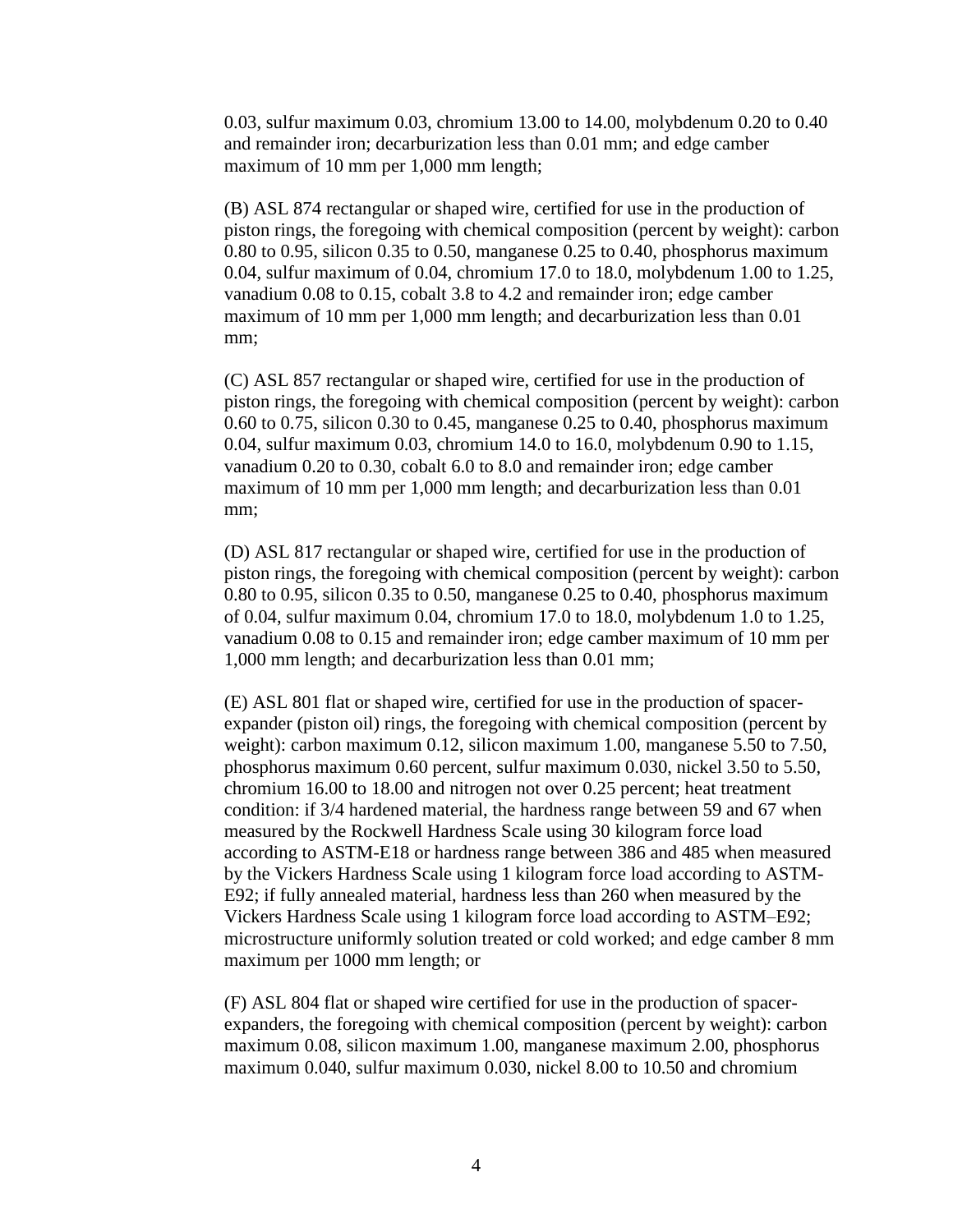0.03, sulfur maximum 0.03, chromium 13.00 to 14.00, molybdenum 0.20 to 0.40 and remainder iron; decarburization less than 0.01 mm; and edge camber maximum of 10 mm per 1,000 mm length;

(B) ASL 874 rectangular or shaped wire, certified for use in the production of piston rings, the foregoing with chemical composition (percent by weight): carbon 0.80 to 0.95, silicon 0.35 to 0.50, manganese 0.25 to 0.40, phosphorus maximum 0.04, sulfur maximum of 0.04, chromium 17.0 to 18.0, molybdenum 1.00 to 1.25, vanadium 0.08 to 0.15, cobalt 3.8 to 4.2 and remainder iron; edge camber maximum of 10 mm per 1,000 mm length; and decarburization less than 0.01 mm;

(C) ASL 857 rectangular or shaped wire, certified for use in the production of piston rings, the foregoing with chemical composition (percent by weight): carbon 0.60 to 0.75, silicon 0.30 to 0.45, manganese 0.25 to 0.40, phosphorus maximum 0.04, sulfur maximum 0.03, chromium 14.0 to 16.0, molybdenum 0.90 to 1.15, vanadium 0.20 to 0.30, cobalt 6.0 to 8.0 and remainder iron; edge camber maximum of 10 mm per 1,000 mm length; and decarburization less than 0.01 mm;

(D) ASL 817 rectangular or shaped wire, certified for use in the production of piston rings, the foregoing with chemical composition (percent by weight): carbon 0.80 to 0.95, silicon 0.35 to 0.50, manganese 0.25 to 0.40, phosphorus maximum of 0.04, sulfur maximum 0.04, chromium 17.0 to 18.0, molybdenum 1.0 to 1.25, vanadium 0.08 to 0.15 and remainder iron; edge camber maximum of 10 mm per 1,000 mm length; and decarburization less than 0.01 mm;

(E) ASL 801 flat or shaped wire, certified for use in the production of spacerexpander (piston oil) rings, the foregoing with chemical composition (percent by weight): carbon maximum 0.12, silicon maximum 1.00, manganese 5.50 to 7.50, phosphorus maximum 0.60 percent, sulfur maximum 0.030, nickel 3.50 to 5.50, chromium 16.00 to 18.00 and nitrogen not over 0.25 percent; heat treatment condition: if 3/4 hardened material, the hardness range between 59 and 67 when measured by the Rockwell Hardness Scale using 30 kilogram force load according to ASTM-E18 or hardness range between 386 and 485 when measured by the Vickers Hardness Scale using 1 kilogram force load according to ASTM-E92; if fully annealed material, hardness less than 260 when measured by the Vickers Hardness Scale using 1 kilogram force load according to ASTM–E92; microstructure uniformly solution treated or cold worked; and edge camber 8 mm maximum per 1000 mm length; or

(F) ASL 804 flat or shaped wire certified for use in the production of spacerexpanders, the foregoing with chemical composition (percent by weight): carbon maximum 0.08, silicon maximum 1.00, manganese maximum 2.00, phosphorus maximum 0.040, sulfur maximum 0.030, nickel 8.00 to 10.50 and chromium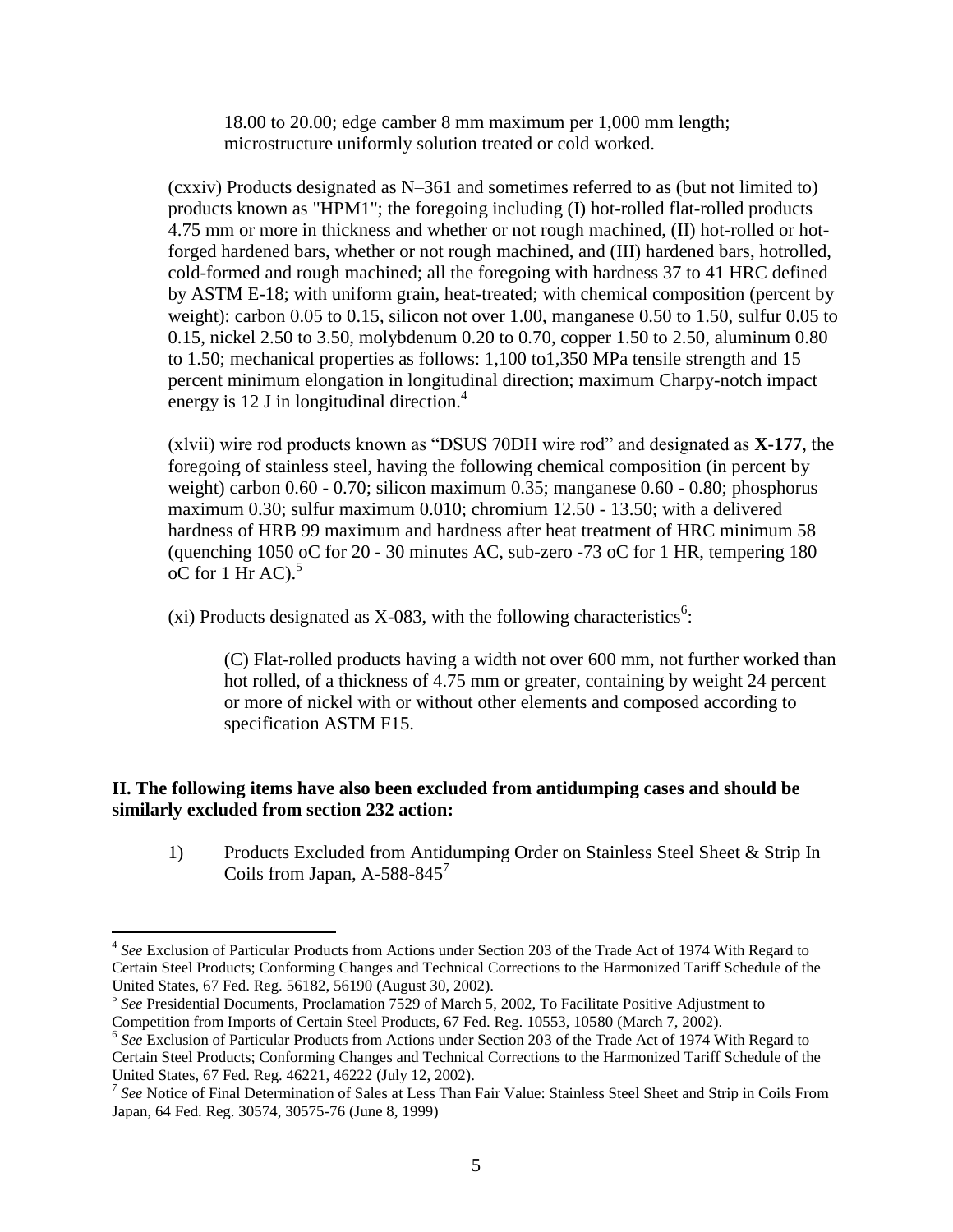18.00 to 20.00; edge camber 8 mm maximum per 1,000 mm length; microstructure uniformly solution treated or cold worked.

(cxxiv) Products designated as N–361 and sometimes referred to as (but not limited to) products known as "HPM1"; the foregoing including (I) hot-rolled flat-rolled products 4.75 mm or more in thickness and whether or not rough machined, (II) hot-rolled or hotforged hardened bars, whether or not rough machined, and (III) hardened bars, hotrolled, cold-formed and rough machined; all the foregoing with hardness 37 to 41 HRC defined by ASTM E-18; with uniform grain, heat-treated; with chemical composition (percent by weight): carbon 0.05 to 0.15, silicon not over 1.00, manganese 0.50 to 1.50, sulfur 0.05 to 0.15, nickel 2.50 to 3.50, molybdenum 0.20 to 0.70, copper 1.50 to 2.50, aluminum 0.80 to 1.50; mechanical properties as follows: 1,100 to1,350 MPa tensile strength and 15 percent minimum elongation in longitudinal direction; maximum Charpy-notch impact energy is 12 J in longitudinal direction.<sup>4</sup>

(xlvii) wire rod products known as "DSUS 70DH wire rod" and designated as **X-177**, the foregoing of stainless steel, having the following chemical composition (in percent by weight) carbon 0.60 - 0.70; silicon maximum 0.35; manganese 0.60 - 0.80; phosphorus maximum 0.30; sulfur maximum 0.010; chromium 12.50 - 13.50; with a delivered hardness of HRB 99 maximum and hardness after heat treatment of HRC minimum 58 (quenching 1050 oC for 20 - 30 minutes AC, sub-zero -73 oC for 1 HR, tempering 180  $\rm ^{1}$  oC for 1 Hr AC).<sup>5</sup>

(xi) Products designated as X-083, with the following characteristics<sup>6</sup>:

(C) Flat-rolled products having a width not over 600 mm, not further worked than hot rolled, of a thickness of 4.75 mm or greater, containing by weight 24 percent or more of nickel with or without other elements and composed according to specification ASTM F15.

# **II. The following items have also been excluded from antidumping cases and should be similarly excluded from section 232 action:**

1) Products Excluded from Antidumping Order on Stainless Steel Sheet & Strip In Coils from Japan, A-588-845<sup>7</sup>

<sup>&</sup>lt;sup>4</sup> See Exclusion of Particular Products from Actions under Section 203 of the Trade Act of 1974 With Regard to Certain Steel Products; Conforming Changes and Technical Corrections to the Harmonized Tariff Schedule of the United States, 67 Fed. Reg. 56182, 56190 (August 30, 2002).

<sup>5</sup> *See* Presidential Documents, Proclamation 7529 of March 5, 2002, To Facilitate Positive Adjustment to Competition from Imports of Certain Steel Products, 67 Fed. Reg. 10553, 10580 (March 7, 2002).

<sup>&</sup>lt;sup>6</sup> See Exclusion of Particular Products from Actions under Section 203 of the Trade Act of 1974 With Regard to Certain Steel Products; Conforming Changes and Technical Corrections to the Harmonized Tariff Schedule of the United States, 67 Fed. Reg. 46221, 46222 (July 12, 2002). 7 *See* Notice of Final Determination of Sales at Less Than Fair Value: Stainless Steel Sheet and Strip in Coils From

Japan, 64 Fed. Reg. 30574, 30575-76 (June 8, 1999)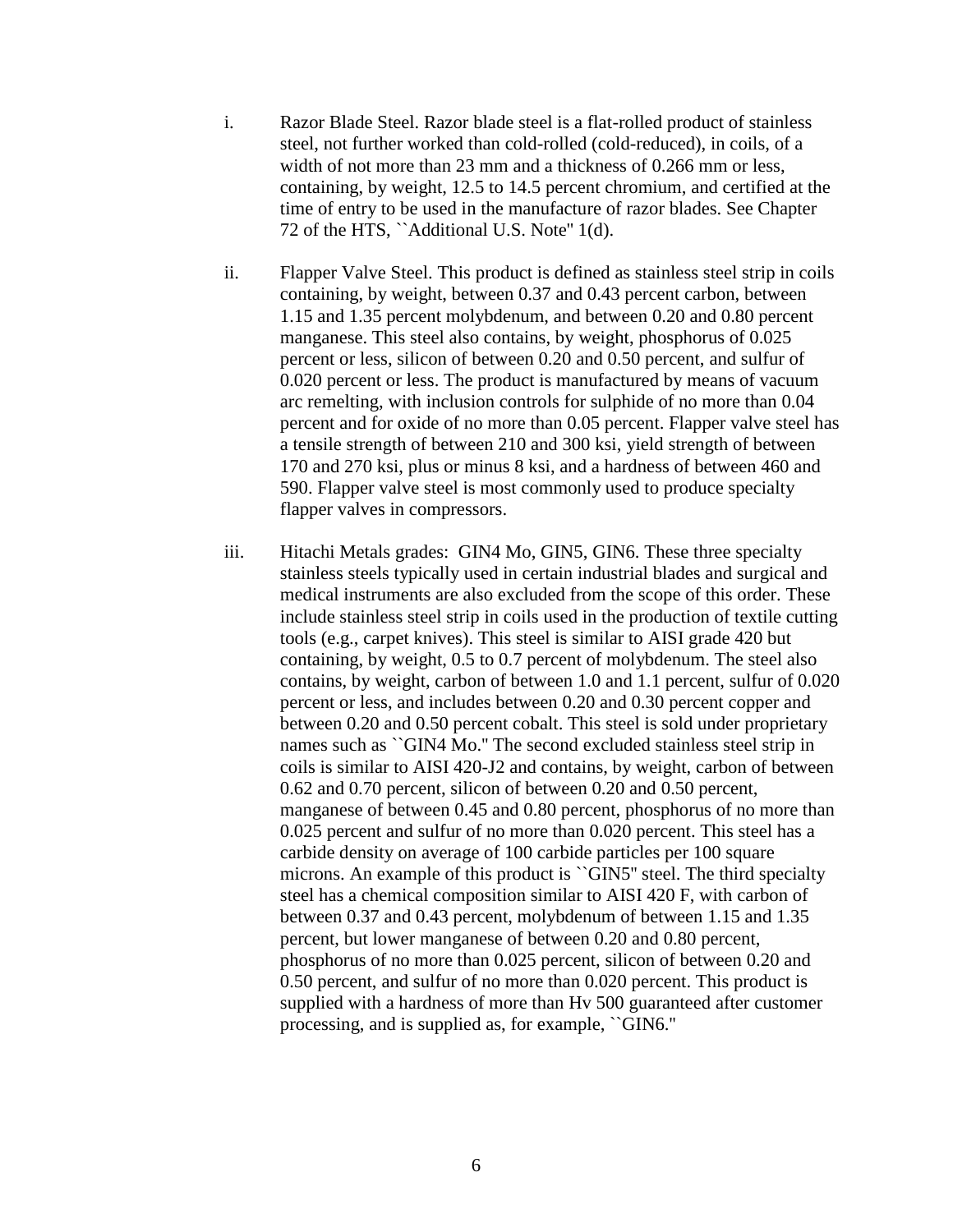- i. Razor Blade Steel. Razor blade steel is a flat-rolled product of stainless steel, not further worked than cold-rolled (cold-reduced), in coils, of a width of not more than 23 mm and a thickness of 0.266 mm or less, containing, by weight, 12.5 to 14.5 percent chromium, and certified at the time of entry to be used in the manufacture of razor blades. See Chapter 72 of the HTS, "Additional U.S. Note" 1(d).
- ii. Flapper Valve Steel. This product is defined as stainless steel strip in coils containing, by weight, between 0.37 and 0.43 percent carbon, between 1.15 and 1.35 percent molybdenum, and between 0.20 and 0.80 percent manganese. This steel also contains, by weight, phosphorus of 0.025 percent or less, silicon of between 0.20 and 0.50 percent, and sulfur of 0.020 percent or less. The product is manufactured by means of vacuum arc remelting, with inclusion controls for sulphide of no more than 0.04 percent and for oxide of no more than 0.05 percent. Flapper valve steel has a tensile strength of between 210 and 300 ksi, yield strength of between 170 and 270 ksi, plus or minus 8 ksi, and a hardness of between 460 and 590. Flapper valve steel is most commonly used to produce specialty flapper valves in compressors.
- iii. Hitachi Metals grades: GIN4 Mo, GIN5, GIN6. These three specialty stainless steels typically used in certain industrial blades and surgical and medical instruments are also excluded from the scope of this order. These include stainless steel strip in coils used in the production of textile cutting tools (e.g., carpet knives). This steel is similar to AISI grade 420 but containing, by weight, 0.5 to 0.7 percent of molybdenum. The steel also contains, by weight, carbon of between 1.0 and 1.1 percent, sulfur of 0.020 percent or less, and includes between 0.20 and 0.30 percent copper and between 0.20 and 0.50 percent cobalt. This steel is sold under proprietary names such as ``GIN4 Mo.'' The second excluded stainless steel strip in coils is similar to AISI 420-J2 and contains, by weight, carbon of between 0.62 and 0.70 percent, silicon of between 0.20 and 0.50 percent, manganese of between 0.45 and 0.80 percent, phosphorus of no more than 0.025 percent and sulfur of no more than 0.020 percent. This steel has a carbide density on average of 100 carbide particles per 100 square microns. An example of this product is "GIN5" steel. The third specialty steel has a chemical composition similar to AISI 420 F, with carbon of between 0.37 and 0.43 percent, molybdenum of between 1.15 and 1.35 percent, but lower manganese of between 0.20 and 0.80 percent, phosphorus of no more than 0.025 percent, silicon of between 0.20 and 0.50 percent, and sulfur of no more than 0.020 percent. This product is supplied with a hardness of more than Hv 500 guaranteed after customer processing, and is supplied as, for example, ``GIN6.''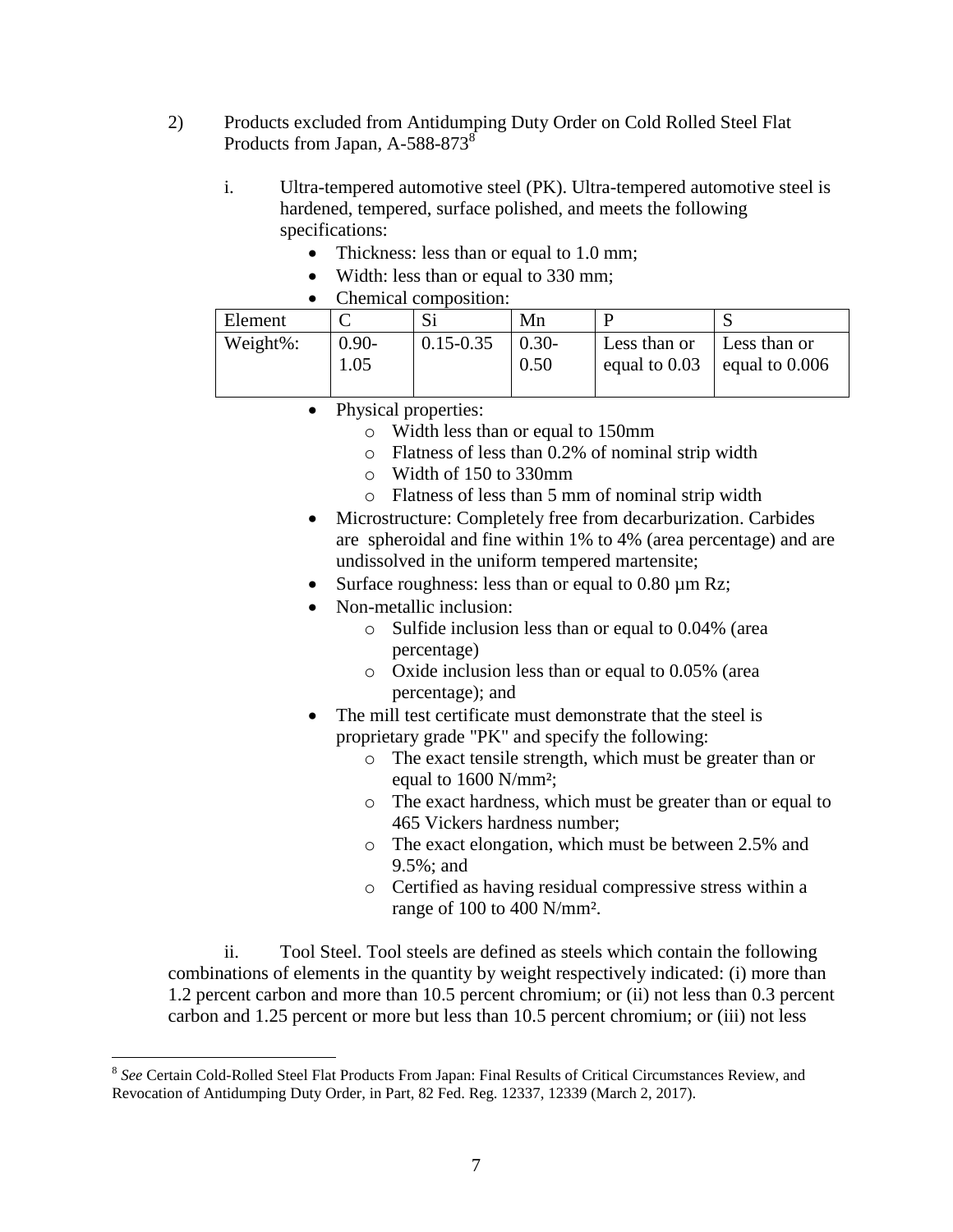- 2) Products excluded from Antidumping Duty Order on Cold Rolled Steel Flat Products from Japan, A-588-873<sup>8</sup>
	- i. Ultra-tempered automotive steel (PK). Ultra-tempered automotive steel is hardened, tempered, surface polished, and meets the following specifications:
		- Thickness: less than or equal to 1.0 mm;
		- Width: less than or equal to 330 mm;
		- Chemical composition:

| Element  |          |               | Mn      |              |                                  |
|----------|----------|---------------|---------|--------------|----------------------------------|
| Weight%: | $0.90 -$ | $0.15 - 0.35$ | $0.30-$ | Less than or | Less than or                     |
|          | 1.05     |               | 0.50    |              | equal to $0.03$ equal to $0.006$ |
|          |          |               |         |              |                                  |

- Physical properties:
	- o Width less than or equal to 150mm
	- o Flatness of less than 0.2% of nominal strip width
	- o Width of 150 to 330mm
	- o Flatness of less than 5 mm of nominal strip width
- Microstructure: Completely free from decarburization. Carbides are spheroidal and fine within 1% to 4% (area percentage) and are undissolved in the uniform tempered martensite;
- Surface roughness: less than or equal to  $0.80 \mu m$  Rz;
- Non-metallic inclusion:
	- o Sulfide inclusion less than or equal to 0.04% (area percentage)
	- o Oxide inclusion less than or equal to 0.05% (area percentage); and
- The mill test certificate must demonstrate that the steel is proprietary grade "PK" and specify the following:
	- o The exact tensile strength, which must be greater than or equal to 1600 N/mm²;
	- o The exact hardness, which must be greater than or equal to 465 Vickers hardness number;
	- o The exact elongation, which must be between 2.5% and 9.5%; and
	- o Certified as having residual compressive stress within a range of 100 to 400 N/mm².

ii. Tool Steel. Tool steels are defined as steels which contain the following combinations of elements in the quantity by weight respectively indicated: (i) more than 1.2 percent carbon and more than 10.5 percent chromium; or (ii) not less than 0.3 percent carbon and 1.25 percent or more but less than 10.5 percent chromium; or (iii) not less

<sup>8</sup> *See* Certain Cold-Rolled Steel Flat Products From Japan: Final Results of Critical Circumstances Review, and Revocation of Antidumping Duty Order, in Part, 82 Fed. Reg. 12337, 12339 (March 2, 2017).